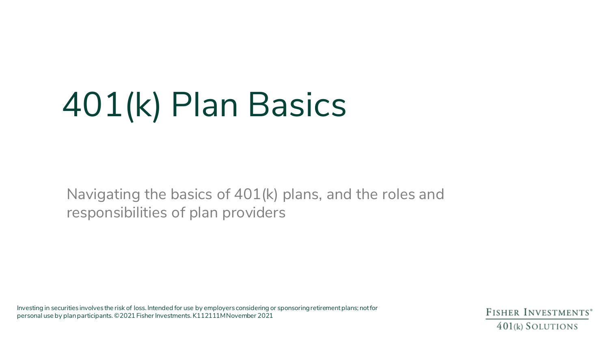# 401(k) Plan Basics

Navigating the basics of 401(k) plans, and the roles and responsibilities of plan providers

Investing in securities involves the risk of loss. Intended for use by employers considering or sponsoring retirement plans; not for personal use by plan participants. ©2021 Fisher Investments. K112111M November 2021

FISHER INVESTMENTS<sup>®</sup> 401(k) SOLUTIONS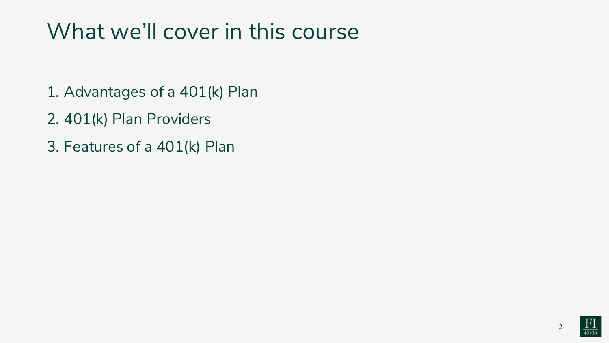## What we'll cover in this course

- 1. Advantages of a 401(k) Plan
- 2. 401(k) Plan Providers
- 3. Features of a 401(k) Plan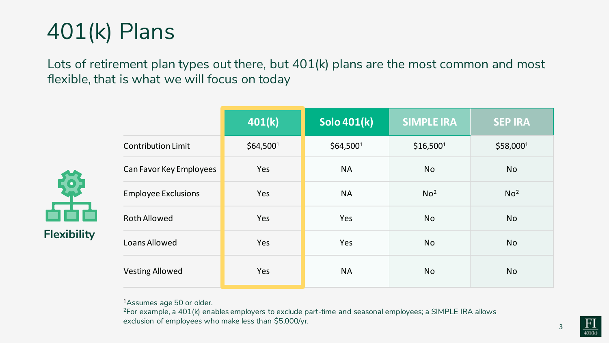

Lots of retirement plan types out there, but 401(k) plans are the most common and most flexible, that is what we will focus on today

| <b>Flexibility</b> |
|--------------------|

|                            | 401(k)                | <b>Solo 401(k)</b>    | <b>SIMPLE IRA</b>     | <b>SEP IRA</b>  |
|----------------------------|-----------------------|-----------------------|-----------------------|-----------------|
| <b>Contribution Limit</b>  | \$64,500 <sup>1</sup> | \$64,500 <sup>1</sup> | \$16,500 <sup>1</sup> | \$58,0001       |
| Can Favor Key Employees    | Yes                   | <b>NA</b>             | <b>No</b>             | <b>No</b>       |
| <b>Employee Exclusions</b> | Yes                   | <b>NA</b>             | No <sup>2</sup>       | No <sup>2</sup> |
| <b>Roth Allowed</b>        | Yes                   | Yes                   | <b>No</b>             | <b>No</b>       |
| <b>Loans Allowed</b>       | Yes                   | Yes                   | <b>No</b>             | <b>No</b>       |
| <b>Vesting Allowed</b>     | Yes                   | <b>NA</b>             | <b>No</b>             | <b>No</b>       |

1Assumes age 50 or older.

<sup>2</sup>For example, a 401(k) enables employers to exclude part-time and seasonal employees; a SIMPLE IRA allows exclusion of employees who make less than \$5,000/yr.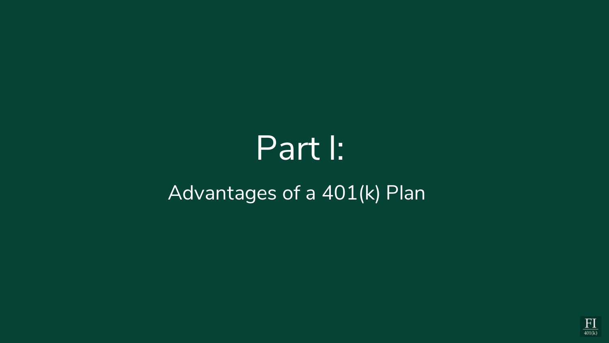# Part I:

### Advantages of a 401(k) Plan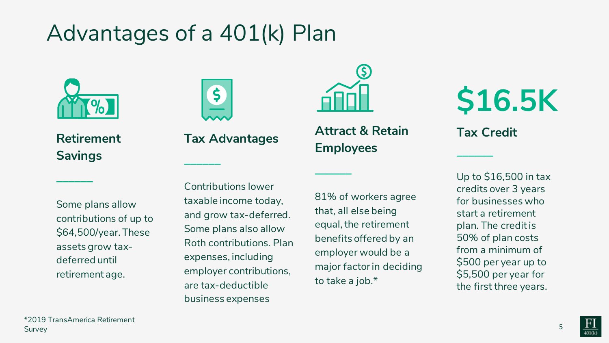## Advantages of a 401(k) Plan





**\_\_\_\_\_\_**

**Retirement Savings**

**\_\_\_\_\_\_**





**\_\_\_\_\_\_**

#### Some plans allow contributions of up to \$64,500/year. These assets grow taxdeferred until retirement age.

Contributions lower taxable income today, and grow tax-deferred. Some plans also allow Roth contributions. Plan expenses, including employer contributions, are tax-deductible business expenses

81% of workers agree that, all else being equal, the retirement benefits offered by an employer would be a major factor in deciding to take a job.\*

**\$16.5K**

**Tax Credit**

**\_\_\_\_\_\_**

Up to \$16,500 in tax credits over 3 years for businesses who start a retirement plan. The credit is 50% of plan costs from a minimum of \$500 per year up to \$5,500 per year for the first three years.

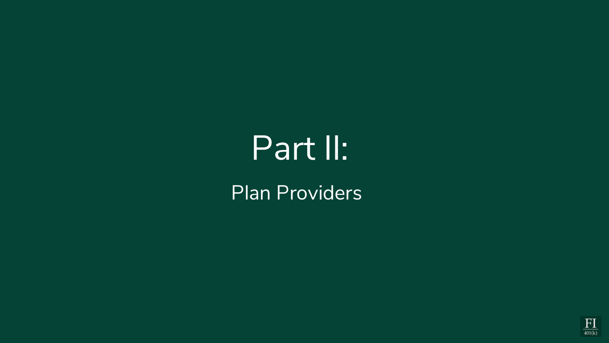# Part II:

Plan Providers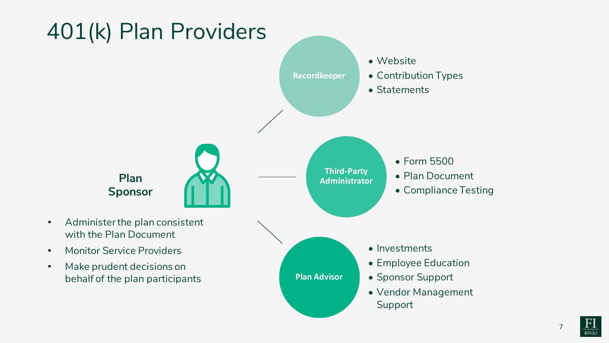

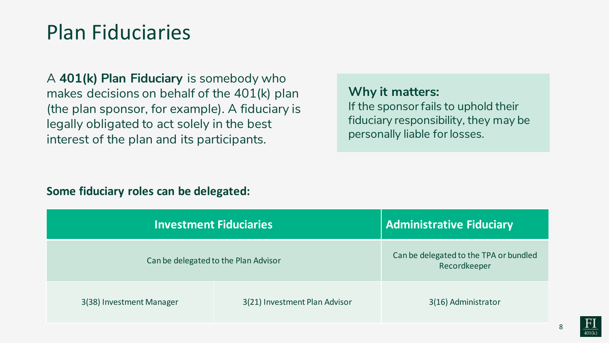### Plan Fiduciaries

A **401(k) Plan Fiduciary** is somebody who makes decisions on behalf of the 401(k) plan (the plan sponsor, for example). A fiduciary is legally obligated to act solely in the best interest of the plan and its participants.

### **Why it matters:**

If the sponsor fails to uphold their fiduciary responsibility, they may be personally liable for losses.

#### **Some fiduciary roles can be delegated:**

| <b>Investment Fiduciaries</b>        |                               | <b>Administrative Fiduciary</b>                        |
|--------------------------------------|-------------------------------|--------------------------------------------------------|
| Can be delegated to the Plan Advisor |                               | Can be delegated to the TPA or bundled<br>Recordkeeper |
| 3(38) Investment Manager             | 3(21) Investment Plan Advisor | 3(16) Administrator                                    |

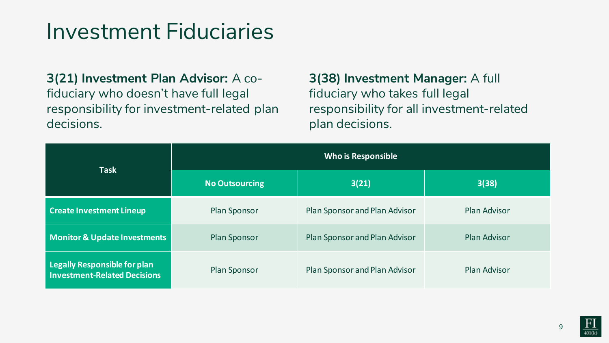### Investment Fiduciaries

**3(21) Investment Plan Advisor:** A cofiduciary who doesn't have full legal responsibility for investment-related plan decisions.

**3(38) Investment Manager:** A full fiduciary who takes full legal responsibility for all investment-related plan decisions.

| <b>Task</b>                                                         | <b>Who is Responsible</b> |                               |                     |
|---------------------------------------------------------------------|---------------------------|-------------------------------|---------------------|
|                                                                     | No Outsourcing            | 3(21)                         | 3(38)               |
| <b>Create Investment Lineup</b>                                     | Plan Sponsor              | Plan Sponsor and Plan Advisor | <b>Plan Advisor</b> |
| <b>Monitor &amp; Update Investments</b>                             | <b>Plan Sponsor</b>       | Plan Sponsor and Plan Advisor | <b>Plan Advisor</b> |
| Legally Responsible for plan<br><b>Investment-Related Decisions</b> | <b>Plan Sponsor</b>       | Plan Sponsor and Plan Advisor | <b>Plan Advisor</b> |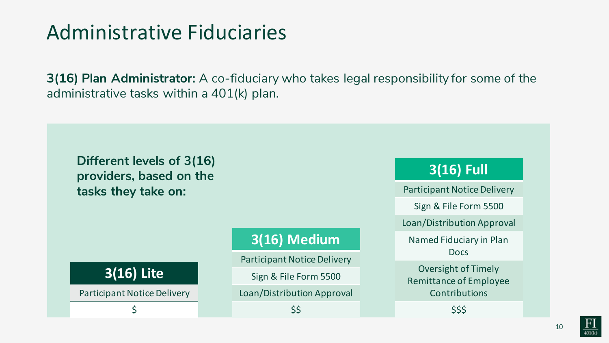### Administrative Fiduciaries

**3(16) Plan Administrator:** A co-fiduciary who takes legal responsibility for some of the administrative tasks within a 401(k) plan.



**3(16) Lite**

Participant Notice Delivery

\$

### **3(16) Medium**

Participant Notice Delivery

Sign & File Form 5500

Loan/Distribution Approval

#### \$\$

### **3(16) Full**

Participant Notice Delivery

Sign & File Form 5500

Loan/Distribution Approval

Named Fiduciary in Plan Docs

Oversight of Timely Remittance of Employee **Contributions** 

\$\$\$

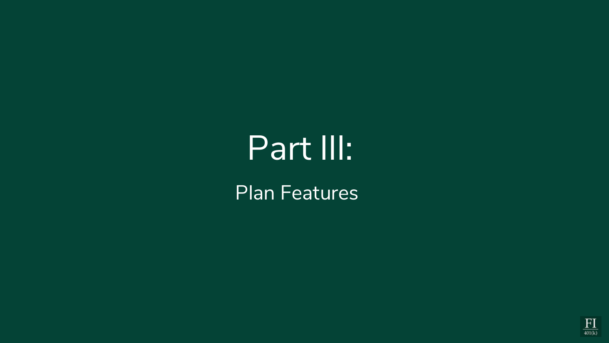# Part III:

Plan Features

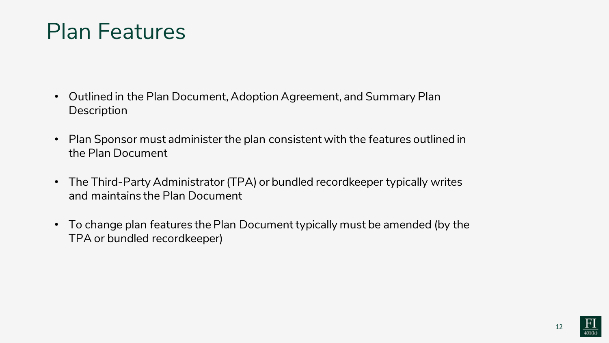## Plan Features

- Outlined in the Plan Document, Adoption Agreement, and Summary Plan **Description**
- Plan Sponsor must administer the plan consistent with the features outlined in the Plan Document
- The Third-Party Administrator (TPA) or bundled recordkeeper typically writes and maintains the Plan Document
- To change plan features the Plan Document typically must be amended (by the TPA or bundled recordkeeper)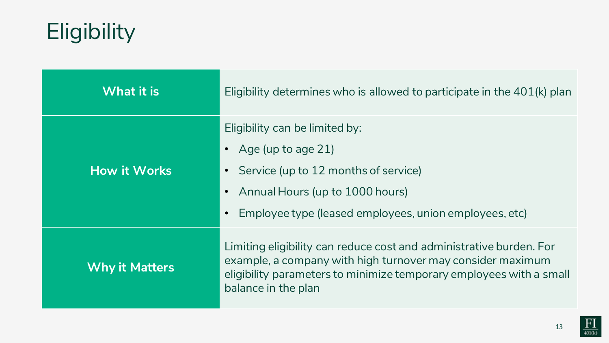# Eligibility

| <b>What it is</b>     | Eligibility determines who is allowed to participate in the 401(k) plan                                                                                                                                                                       |  |
|-----------------------|-----------------------------------------------------------------------------------------------------------------------------------------------------------------------------------------------------------------------------------------------|--|
| <b>How it Works</b>   | Eligibility can be limited by:<br>Age (up to age 21)<br>$\bullet$<br>Service (up to 12 months of service)<br>$\bullet$<br>Annual Hours (up to 1000 hours)<br>$\bullet$<br>Employee type (leased employees, union employees, etc)<br>$\bullet$ |  |
| <b>Why it Matters</b> | Limiting eligibility can reduce cost and administrative burden. For<br>example, a company with high turnover may consider maximum<br>eligibility parameters to minimize temporary employees with a small<br>balance in the plan               |  |

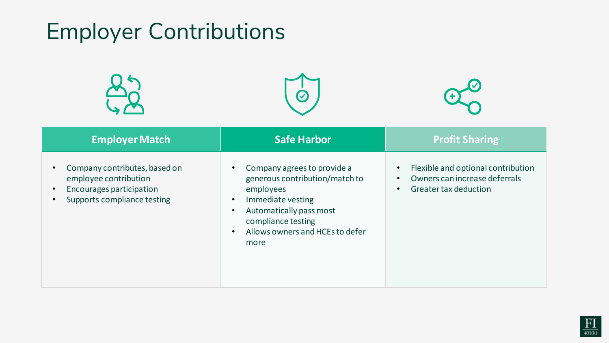# Employer Contributions







| <b>Employer Match</b>                                                                                                    | Safe Harbor                                                                                                                                                                                                                        | <b>Profit Sharing</b>                                                                                                               |
|--------------------------------------------------------------------------------------------------------------------------|------------------------------------------------------------------------------------------------------------------------------------------------------------------------------------------------------------------------------------|-------------------------------------------------------------------------------------------------------------------------------------|
| Company contributes, based on<br>employee contribution<br><b>Encourages participation</b><br>Supports compliance testing | Company agrees to provide a<br>generous contribution/match to<br>employees<br>Immediate vesting<br>$\bullet$<br>Automatically pass most<br>$\bullet$<br>compliance testing<br>Allows owners and HCEs to defer<br>$\bullet$<br>more | Flexible and optional contribution<br>$\bullet$<br>Owners can increase deferrals<br>$\bullet$<br>Greater tax deduction<br>$\bullet$ |

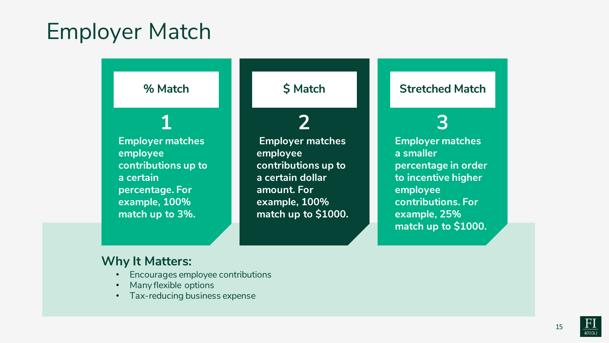## Employer Match

#### **% Match**

**1**

**Employer matches employee contributions up to a certain percentage. For example, 100% match up to 3%.**

### **\$ Match**

### **2**

**Employer matches employee contributions up to a certain dollar amount. For example, 100% match up to \$1000.**

#### **Stretched Match**

### **3**

**Employer matches a smaller percentage in order to incentive higher employee contributions. For example, 25% match up to \$1000.**

#### **Why It Matters:**

- Encourages employee contributions
- Many flexible options
- Tax-reducing business expense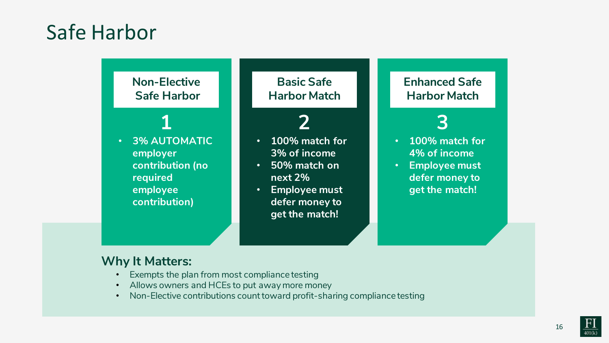### Safe Harbor

#### **Non-Elective Safe Harbor**

**1**

#### • **3% AUTOMATIC employer contribution (no required employee contribution)**

**Basic Safe Harbor Match**

### **2**

- **100% match for 3% of income**
- **50% match on next 2%**
- **Employee must defer money to get the match!**

#### **Enhanced Safe Harbor Match**

### **3**

- **100% match for 4% of income**
- **Employee must defer money to get the match!**

### **Why It Matters:**

- Exempts the plan from most compliance testing
- Allows owners and HCEs to put away more money
- Non-Elective contributions count toward profit-sharing compliance testing

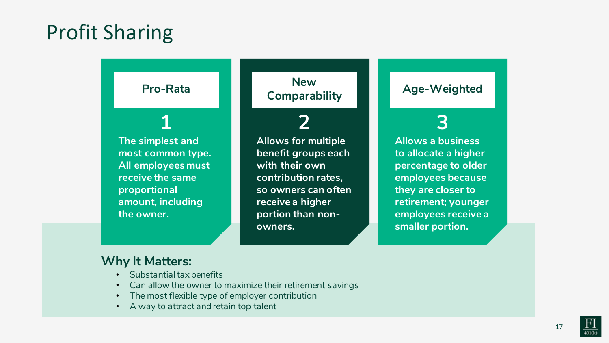### Profit Sharing

### **Pro-Rata**

**1 The simplest and most common type. All employees must receive the same proportional amount, including the owner.** 

**New Comparability**

### **2**

**Allows for multiple benefit groups each with their own contribution rates, so owners can often receive a higher portion than nonowners.** 

#### **Age-Weighted**

### **3**

**Allows a business to allocate a higher percentage to older employees because they are closer to retirement; younger employees receive a smaller portion.** 

#### **Why It Matters:**

- Substantial tax benefits
- Can allow the owner to maximize their retirement savings
- The most flexible type of employer contribution
- A way to attract and retain top talent

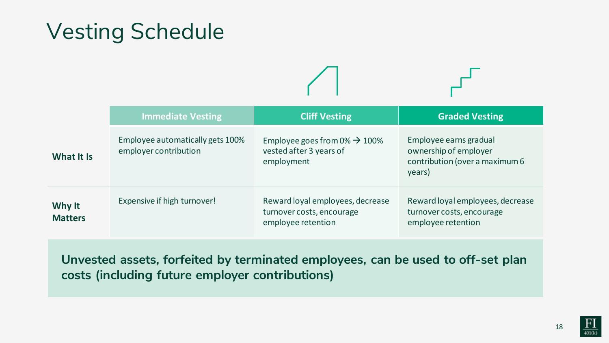## Vesting Schedule

|                          | <b>Immediate Vesting</b>                                  | <b>Cliff Vesting</b>                                                                | <b>Graded Vesting</b>                                                                       |
|--------------------------|-----------------------------------------------------------|-------------------------------------------------------------------------------------|---------------------------------------------------------------------------------------------|
| What It Is               | Employee automatically gets 100%<br>employer contribution | Employee goes from $0\% \rightarrow 100\%$<br>vested after 3 years of<br>employment | Employee earns gradual<br>ownership of employer<br>contribution (over a maximum 6<br>years) |
| Why It<br><b>Matters</b> | Expensive if high turnover!                               | Reward loyal employees, decrease<br>turnover costs, encourage<br>employee retention | Reward loyal employees, decrease<br>turnover costs, encourage<br>employee retention         |

**Unvested assets, forfeited by terminated employees, can be used to off-set plan costs (including future employer contributions)**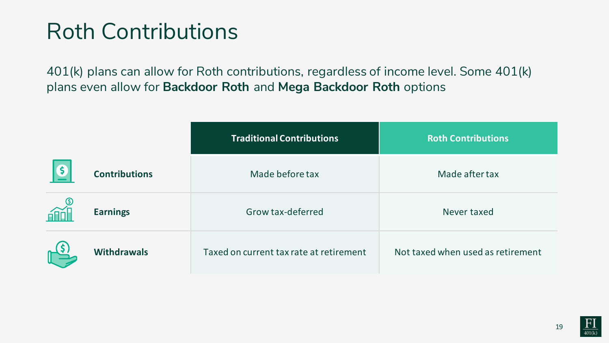## Roth Contributions

401(k) plans can allow for Roth contributions, regardless of income level. Some 401(k) plans even allow for **Backdoor Roth** and **Mega Backdoor Roth** options

|                    |                      | <b>Traditional Contributions</b>        | <b>Roth Contributions</b>         |
|--------------------|----------------------|-----------------------------------------|-----------------------------------|
| S                  | <b>Contributions</b> | Made before tax                         | Made after tax                    |
|                    | <b>Earnings</b>      | Grow tax-deferred                       | Never taxed                       |
| $\mathbb{L}^{(5)}$ | <b>Withdrawals</b>   | Taxed on current tax rate at retirement | Not taxed when used as retirement |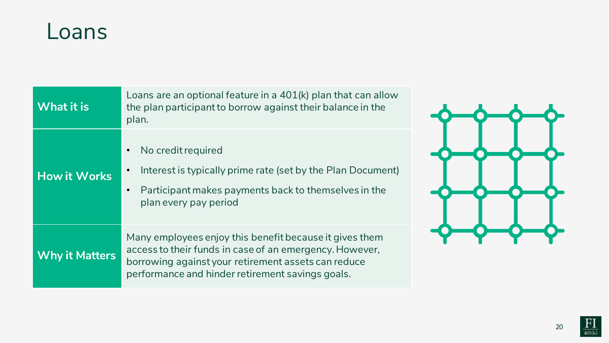### Loans

| <b>What it is</b>     | Loans are an optional feature in a 401(k) plan that can allow<br>the plan participant to borrow against their balance in the<br>plan.                                                                                         |  |  |
|-----------------------|-------------------------------------------------------------------------------------------------------------------------------------------------------------------------------------------------------------------------------|--|--|
| <b>How it Works</b>   | No credit required<br>Interest is typically prime rate (set by the Plan Document)<br>Participant makes payments back to themselves in the<br>plan every pay period                                                            |  |  |
| <b>Why it Matters</b> | Many employees enjoy this benefit because it gives them<br>access to their funds in case of an emergency. However,<br>borrowing against your retirement assets can reduce<br>performance and hinder retirement savings goals. |  |  |



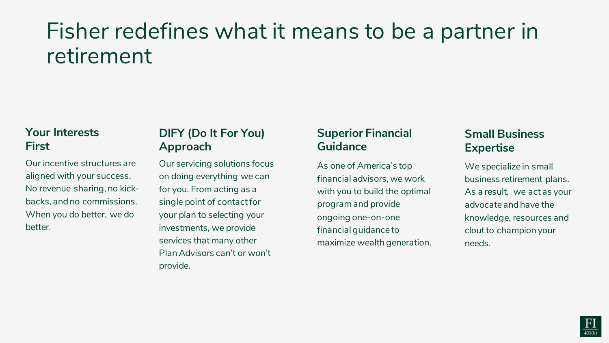## Fisher redefines what it means to be a partner in retirement

#### **Your Interests First**

Our incentive structures are aligned with your success. No revenue sharing, no kickbacks, and no commissions. When you do better, we do better.

#### **DIFY (Do It For You) Approach**

Our servicing solutions focus on doing everything we can for you. From acting as a single point of contact for your plan to selecting your investments, we provide services that many other Plan Advisors can't or won't provide.

#### **Superior Financial Guidance**

As one of America's top financial advisors, we work with you to build the optimal program and provide ongoing one-on-one financial guidance to maximize wealth generation.

#### **Small Business Expertise**

We specialize in small business retirement plans. As a result, we act as your advocate and have the knowledge, resources and clout to champion your needs.